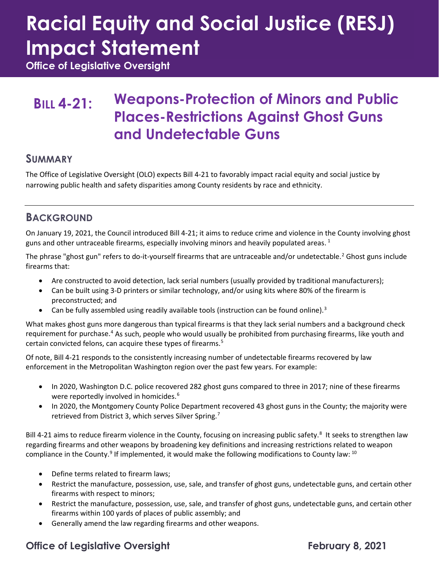# **Racial Equity and Social Justice (RESJ) Impact Statement**

**Office of Legislative Oversight**

### **BILL 4-21: Weapons-Protection of Minors and Public Places-Restrictions Against Ghost Guns and Undetectable Guns**

#### **SUMMARY**

The Office of Legislative Oversight (OLO) expects Bill 4-21 to favorably impact racial equity and social justice by narrowing public health and safety disparities among County residents by race and ethnicity.

#### **BACKGROUND**

On January 19, 2021, the Council introduced Bill 4-21; it aims to reduce crime and violence in the County involving ghost guns and other untraceable firearms, especially involving minors and heavily populated areas.<sup>[1](#page-3-0)</sup>

The phrase "ghost gun" refers to do-it-yourself firearms that are untraceable and/or undetectable.<sup>[2](#page-3-1)</sup> Ghost guns include firearms that:

- Are constructed to avoid detection, lack serial numbers (usually provided by traditional manufacturers);
- Can be built using 3-D printers or similar technology, and/or using kits where 80% of the firearm is preconstructed; and
- Can be fully assembled using readily available tools (instruction can be found online).<sup>[3](#page-3-2)</sup>

What makes ghost guns more dangerous than typical firearms is that they lack serial numbers and a background check requirement for purchase.[4](#page-3-3) As such, people who would usually be prohibited from purchasing firearms, like youth and certain convicted felons, can acquire these types of firearms.<sup>[5](#page-3-4)</sup>

Of note, Bill 4-21 responds to the consistently increasing number of undetectable firearms recovered by law enforcement in the Metropolitan Washington region over the past few years. For example:

- In 2020, Washington D.C. police recovered 282 ghost guns compared to three in 2017; nine of these firearms were reportedly involved in homicides.<sup>[6](#page-3-5)</sup>
- In 2020, the Montgomery County Police Department recovered 43 ghost guns in the County; the majority were retrieved from District 3, which serves Silver Spring.<sup>[7](#page-3-6)</sup>

Bill 4-21 aims to reduce firearm violence in the County, focusing on increasing public safety.<sup>[8](#page-3-7)</sup> It seeks to strengthen law regarding firearms and other weapons by broadening key definitions and increasing restrictions related to weapon compliance in the County.<sup>[9](#page-3-8)</sup> If implemented, it would make the following modifications to County law:  $^{10}$  $^{10}$  $^{10}$ 

- Define terms related to firearm laws;
- Restrict the manufacture, possession, use, sale, and transfer of ghost guns, undetectable guns, and certain other firearms with respect to minors;
- Restrict the manufacture, possession, use, sale, and transfer of ghost guns, undetectable guns, and certain other firearms within 100 yards of places of public assembly; and
- Generally amend the law regarding firearms and other weapons.

#### **Office of Legislative Oversight Community Community Represents Access Pressure Community Represents Access**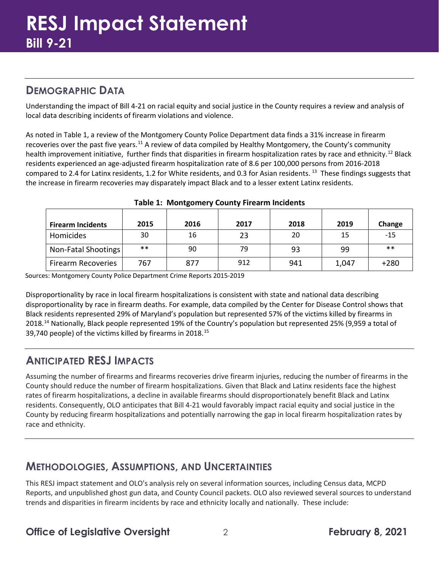#### **DEMOGRAPHIC DATA**

Understanding the impact of Bill 4-21 on racial equity and social justice in the County requires a review and analysis of local data describing incidents of firearm violations and violence.

As noted in Table 1, a review of the Montgomery County Police Department data finds a 31% increase in firearm recoveries over the past five years.[11](#page-3-10) A review of data compiled by Healthy Montgomery, the County's community health improvement initiative, further finds that disparities in firearm hospitalization rates by race and ethnicity.<sup>[12](#page-3-11)</sup> Black residents experienced an age-adjusted firearm hospitalization rate of 8.6 per 100,000 persons from 2016-2018 compared to 2.4 for Latinx residents, 1.2 for White residents, and 0.3 for Asian residents. <sup>[13](#page-3-12)</sup> These findings suggests that the increase in firearm recoveries may disparately impact Black and to a lesser extent Latinx residents.

| <b>Firearm Incidents</b>  | 2015  | 2016 | 2017 | 2018 | 2019  | Change |
|---------------------------|-------|------|------|------|-------|--------|
| Homicides                 | 30    | 16   | 23   | 20   | 15    | $-15$  |
| Non-Fatal Shootings       | $***$ | 90   | 79   | 93   | 99    | $***$  |
| <b>Firearm Recoveries</b> | 767   | 877  | 912  | 941  | 1,047 | $+280$ |

| <b>Table 1: Montgomery County Firearm Incidents</b> |  |  |
|-----------------------------------------------------|--|--|
|-----------------------------------------------------|--|--|

Sources: Montgomery County Police Department Crime Reports 2015-2019

Disproportionality by race in local firearm hospitalizations is consistent with state and national data describing disproportionality by race in firearm deaths. For example, data compiled by the Center for Disease Control shows that Black residents represented 29% of Maryland's population but represented 57% of the victims killed by firearms in 2018.<sup>[14](#page-3-13)</sup> Nationally, Black people represented 19% of the Country's population but represented 25% (9,959 a total of 39,740 people) of the victims killed by firearms in 2018.<sup>[15](#page-3-14)</sup>

#### **ANTICIPATED RESJ IMPACTS**

Assuming the number of firearms and firearms recoveries drive firearm injuries, reducing the number of firearms in the County should reduce the number of firearm hospitalizations. Given that Black and Latinx residents face the highest rates of firearm hospitalizations, a decline in available firearms should disproportionately benefit Black and Latinx residents. Consequently, OLO anticipates that Bill 4-21 would favorably impact racial equity and social justice in the County by reducing firearm hospitalizations and potentially narrowing the gap in local firearm hospitalization rates by race and ethnicity.

#### **METHODOLOGIES, ASSUMPTIONS, AND UNCERTAINTIES**

This RESJ impact statement and OLO's analysis rely on several information sources, including Census data, MCPD Reports, and unpublished ghost gun data, and County Council packets. OLO also reviewed several sources to understand trends and disparities in firearm incidents by race and ethnicity locally and nationally. These include: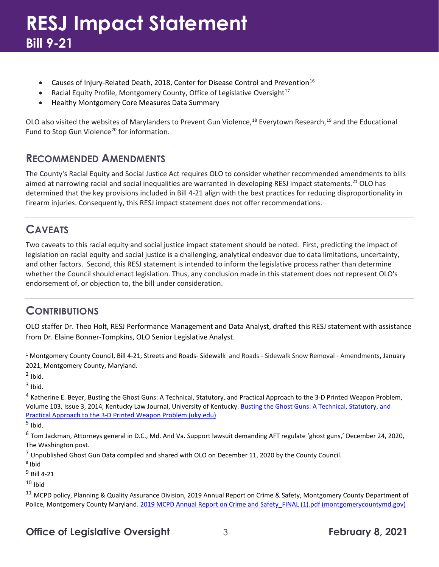## **RESJ Impact Statement Bill 9-21**

- Causes of Injury-Related Death, 2018, Center for Disease Control and Prevention<sup>[16](#page-3-15)</sup>
- Racial Equity Profile, Montgomery County, Office of Legislative Oversight<sup>17</sup>
- Healthy Montgomery Core Measures Data Summary

OLO also visited the websites of Marylanders to Prevent Gun Violence,<sup>[18](#page-3-17)</sup> Everytown Research,<sup>[19](#page-3-18)</sup> and the Educational Fund to Stop Gun Violence<sup>[20](#page-3-19)</sup> for information.

#### **RECOMMENDED AMENDMENTS**

The County's Racial Equity and Social Justice Act requires OLO to consider whether recommended amendments to bills aimed at narrowing racial and social inequalities are warranted in developing RESJ impact statements.<sup>[21](#page-3-20)</sup> OLO has determined that the key provisions included in Bill 4-21 align with the best practices for reducing disproportionality in firearm injuries. Consequently, this RESJ impact statement does not offer recommendations.

#### **CAVEATS**

Two caveats to this racial equity and social justice impact statement should be noted. First, predicting the impact of legislation on racial equity and social justice is a challenging, analytical endeavor due to data limitations, uncertainty, and other factors. Second, this RESJ statement is intended to inform the legislative process rather than determine whether the Council should enact legislation. Thus, any conclusion made in this statement does not represent OLO's endorsement of, or objection to, the bill under consideration.

#### **CONTRIBUTIONS**

OLO staffer Dr. Theo Holt, RESJ Performance Management and Data Analyst, drafted this RESJ statement with assistance from Dr. Elaine Bonner-Tompkins, OLO Senior Legislative Analyst.

<sup>1</sup> Montgomery County Council, Bill 4-21, Streets and Roads- Sidewalk and Roads - Sidewalk Snow Removal - Amendments**,** January 2021, Montgomery County, Maryland.

 $<sup>2</sup>$  Ibid.</sup>

 $3$  Ibid.

<sup>4</sup> Katherine E. Beyer, Busting the Ghost Guns: A Technical, Statutory, and Practical Approach to the 3-D Printed Weapon Problem, Volume 103, Issue 3, 2014, Kentucky Law Journal, University of Kentucky. [Busting the Ghost Guns: A Technical, Statutory, and](https://uknowledge.uky.edu/cgi/viewcontent.cgi?article=1078&context=klj)  [Practical Approach to the 3-D Printed Weapon Problem \(uky.edu\)](https://uknowledge.uky.edu/cgi/viewcontent.cgi?article=1078&context=klj)

 $<sup>5</sup>$  Ibid.</sup>

<sup>6</sup> Tom Jackman, Attorneys general in D.C., Md. And Va. Support lawsuit demanding AFT regulate 'ghost guns,' December 24, 2020, The Washington post.

 $7$  Unpublished Ghost Gun Data compiled and shared with OLO on December 11, 2020 by the County Council.

<sup>8</sup> Ibid

<sup>9</sup> Bill 4-21

 $10$  Ibid

<sup>11</sup> MCPD policy, Planning & Quality Assurance Division, 2019 Annual Report on Crime & Safety, Montgomery County Department of Police, Montgomery County Maryland. 2019 MCPD Annual Report on Crime and Safety FINAL (1).pdf (montgomerycountymd.gov)